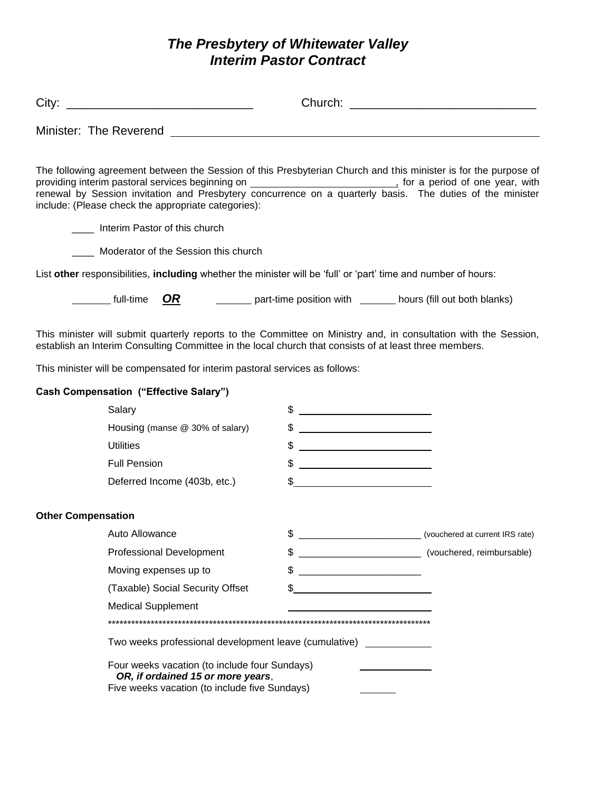# The Presbytery of Whitewater Valley<br>Interim Pastor Contract

|                           | The following agreement between the Session of this Presbyterian Church and this minister is for the purpose of<br>include: (Please check the appropriate categories):                                                    |                                                                                                                                                                                                                                                                                                                     |                           |
|---------------------------|---------------------------------------------------------------------------------------------------------------------------------------------------------------------------------------------------------------------------|---------------------------------------------------------------------------------------------------------------------------------------------------------------------------------------------------------------------------------------------------------------------------------------------------------------------|---------------------------|
|                           | Interim Pastor of this church                                                                                                                                                                                             |                                                                                                                                                                                                                                                                                                                     |                           |
|                           | Moderator of the Session this church                                                                                                                                                                                      |                                                                                                                                                                                                                                                                                                                     |                           |
|                           | List other responsibilities, including whether the minister will be 'full' or 'part' time and number of hours:                                                                                                            |                                                                                                                                                                                                                                                                                                                     |                           |
|                           | full-time <b>OR</b> part-time position with ______ hours (fill out both blanks)                                                                                                                                           |                                                                                                                                                                                                                                                                                                                     |                           |
|                           | This minister will submit quarterly reports to the Committee on Ministry and, in consultation with the Session,<br>establish an Interim Consulting Committee in the local church that consists of at least three members. |                                                                                                                                                                                                                                                                                                                     |                           |
|                           | This minister will be compensated for interim pastoral services as follows:                                                                                                                                               |                                                                                                                                                                                                                                                                                                                     |                           |
|                           | <b>Cash Compensation ("Effective Salary")</b>                                                                                                                                                                             |                                                                                                                                                                                                                                                                                                                     |                           |
|                           | Salary                                                                                                                                                                                                                    | $\frac{1}{2}$ $\frac{1}{2}$ $\frac{1}{2}$ $\frac{1}{2}$ $\frac{1}{2}$ $\frac{1}{2}$ $\frac{1}{2}$ $\frac{1}{2}$ $\frac{1}{2}$ $\frac{1}{2}$ $\frac{1}{2}$ $\frac{1}{2}$ $\frac{1}{2}$ $\frac{1}{2}$ $\frac{1}{2}$ $\frac{1}{2}$ $\frac{1}{2}$ $\frac{1}{2}$ $\frac{1}{2}$ $\frac{1}{2}$ $\frac{1}{2}$ $\frac{1}{2}$ |                           |
|                           | Housing (manse @ 30% of salary)                                                                                                                                                                                           | $\frac{1}{2}$                                                                                                                                                                                                                                                                                                       |                           |
|                           | <b>Utilities</b>                                                                                                                                                                                                          | $\frac{1}{2}$ $\frac{1}{2}$ $\frac{1}{2}$ $\frac{1}{2}$ $\frac{1}{2}$ $\frac{1}{2}$ $\frac{1}{2}$ $\frac{1}{2}$ $\frac{1}{2}$ $\frac{1}{2}$ $\frac{1}{2}$ $\frac{1}{2}$ $\frac{1}{2}$ $\frac{1}{2}$ $\frac{1}{2}$ $\frac{1}{2}$ $\frac{1}{2}$ $\frac{1}{2}$ $\frac{1}{2}$ $\frac{1}{2}$ $\frac{1}{2}$ $\frac{1}{2}$ |                           |
|                           | <b>Full Pension</b>                                                                                                                                                                                                       | $\frac{1}{2}$                                                                                                                                                                                                                                                                                                       |                           |
|                           | Deferred Income (403b, etc.)                                                                                                                                                                                              | $\frac{1}{2}$                                                                                                                                                                                                                                                                                                       |                           |
| <b>Other Compensation</b> |                                                                                                                                                                                                                           |                                                                                                                                                                                                                                                                                                                     |                           |
|                           | Auto Allowance                                                                                                                                                                                                            | \$                                                                                                                                                                                                                                                                                                                  |                           |
|                           | <b>Professional Development</b>                                                                                                                                                                                           | \$                                                                                                                                                                                                                                                                                                                  | (vouchered, reimbursable) |
|                           | Moving expenses up to                                                                                                                                                                                                     | \$                                                                                                                                                                                                                                                                                                                  |                           |
|                           | (Taxable) Social Security Offset                                                                                                                                                                                          | \$                                                                                                                                                                                                                                                                                                                  |                           |
|                           | <b>Medical Supplement</b>                                                                                                                                                                                                 |                                                                                                                                                                                                                                                                                                                     |                           |
|                           |                                                                                                                                                                                                                           |                                                                                                                                                                                                                                                                                                                     |                           |
|                           | Two weeks professional development leave (cumulative)                                                                                                                                                                     |                                                                                                                                                                                                                                                                                                                     |                           |
|                           | Four weeks vacation (to include four Sundays)<br>OR, if ordained 15 or more years,<br>Five weeks vacation (to include five Sundays)                                                                                       |                                                                                                                                                                                                                                                                                                                     |                           |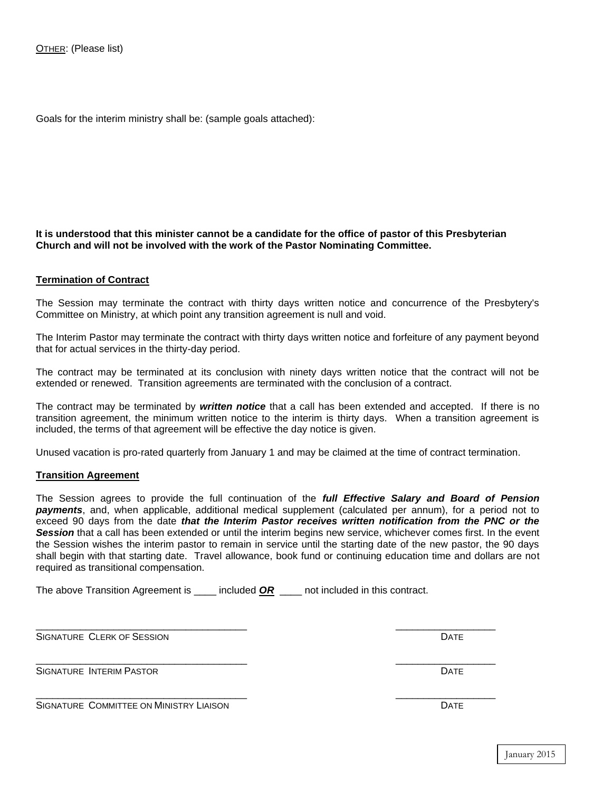Goals for the interim ministry shall be: (sample goals attached):

## **It is understood that this minister cannot be a candidate for the office of pastor of this Presbyterian Church and will not be involved with the work of the Pastor Nominating Committee.**

### **Termination of Contract**

The Session may terminate the contract with thirty days written notice and concurrence of the Presbytery's Committee on Ministry, at which point any transition agreement is null and void.

The Interim Pastor may terminate the contract with thirty days written notice and forfeiture of any payment beyond that for actual services in the thirty-day period.

The contract may be terminated at its conclusion with ninety days written notice that the contract will not be extended or renewed. Transition agreements are terminated with the conclusion of a contract.

The contract may be terminated by *written notice* that a call has been extended and accepted. If there is no transition agreement, the minimum written notice to the interim is thirty days. When a transition agreement is included, the terms of that agreement will be effective the day notice is given.

Unused vacation is pro-rated quarterly from January 1 and may be claimed at the time of contract termination.

#### **Transition Agreement**

The Session agrees to provide the full continuation of the *full Effective Salary and Board of Pension payments*, and, when applicable, additional medical supplement (calculated per annum), for a period not to exceed 90 days from the date *that the Interim Pastor receives written notification from the PNC or the Session* that a call has been extended or until the interim begins new service, whichever comes first. In the event the Session wishes the interim pastor to remain in service until the starting date of the new pastor, the 90 days shall begin with that starting date. Travel allowance, book fund or continuing education time and dollars are not required as transitional compensation.

The above Transition Agreement is \_\_\_\_\_ included **OR** \_\_\_\_ not included in this contract.

\_\_\_\_\_\_\_\_\_\_\_\_\_\_\_\_\_\_\_\_\_\_\_\_\_\_\_\_\_\_\_\_\_\_\_\_\_\_ \_\_\_\_\_\_\_\_\_\_\_\_\_\_\_\_\_\_

SIGNATURE CLERK OF SESSION DATE AND A SERVER SERVER OF SESSION DATE

\_\_\_\_\_\_\_\_\_\_\_\_\_\_\_\_\_\_\_\_\_\_\_\_\_\_\_\_\_\_\_\_\_\_\_\_\_\_ \_\_\_\_\_\_\_\_\_\_\_\_\_\_\_\_\_\_ SIGNATURE INTERIM PASTOR DATE AND SERVICE SERVICE OF THE SERVICE OF THE SERVICE OF THE SERVICE OF THE SERVICE O

SIGNATURE COMMITTEE ON MINISTRY LIAISON **DATE** 

\_\_\_\_\_\_\_\_\_\_\_\_\_\_\_\_\_\_\_\_\_\_\_\_\_\_\_\_\_\_\_\_\_\_\_\_\_\_ \_\_\_\_\_\_\_\_\_\_\_\_\_\_\_\_\_\_